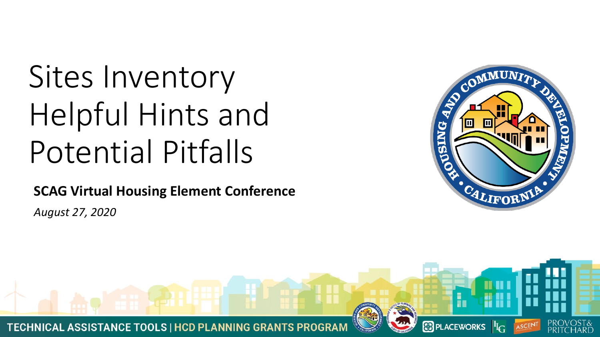# Sites Inventory Helpful Hints and Potential Pitfalls

**SCAG Virtual Housing Element Conference**

*August 27, 2020*



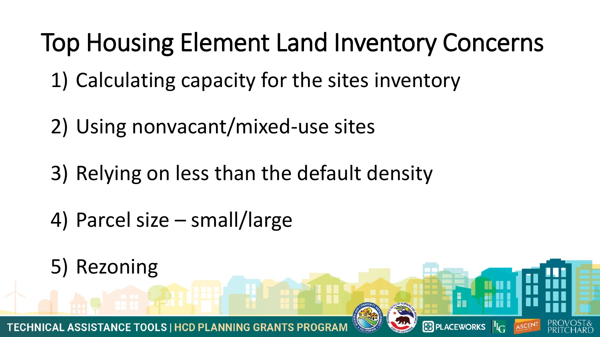#### Top Housing Element Land Inventory Concerns

- 1) Calculating capacity for the sites inventory
- 2) Using nonvacant/mixed-use sites
- 3) Relying on less than the default density
- 4) Parcel size small/large
- 5) Rezoning **&** PLACEWORKS <sup>II</sup>I<sub>C</sub> **TECHNICAL ASSISTANCE TOOLS | HCD PLANNING GRANT**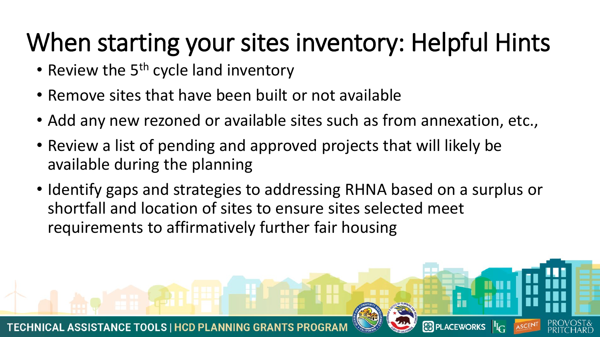### When starting your sites inventory: Helpful Hints

- Review the  $5<sup>th</sup>$  cycle land inventory
- Remove sites that have been built or not available
- Add any new rezoned or available sites such as from annexation, etc.,
- Review a list of pending and approved projects that will likely be available during the planning
- Identify gaps and strategies to addressing RHNA based on a surplus or shortfall and location of sites to ensure sites selected meet requirements to affirmatively further fair housing

**&** PLACEWORKS <sup>II</sup>I<sub>C</sub>

**TECHNICAL ASSISTANCE TOOLS | HCD PLANNING GRA**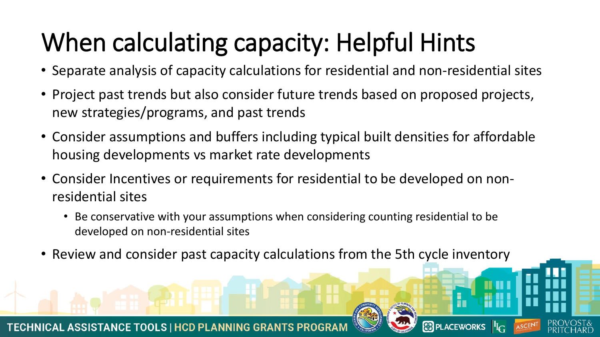## When calculating capacity: Helpful Hints

- Separate analysis of capacity calculations for residential and non-residential sites
- Project past trends but also consider future trends based on proposed projects, new strategies/programs, and past trends
- Consider assumptions and buffers including typical built densities for affordable housing developments vs market rate developments
- Consider Incentives or requirements for residential to be developed on nonresidential sites
	- Be conservative with your assumptions when considering counting residential to be developed on non-residential sites
- Review and consider past capacity calculations from the 5th cycle inventory

**B** PLACEWORKS <sup>II</sup>I<sub>G</sub>

**TECHNICAL ASSISTANCE TOOLS | HCD PLANNING GRANTS F**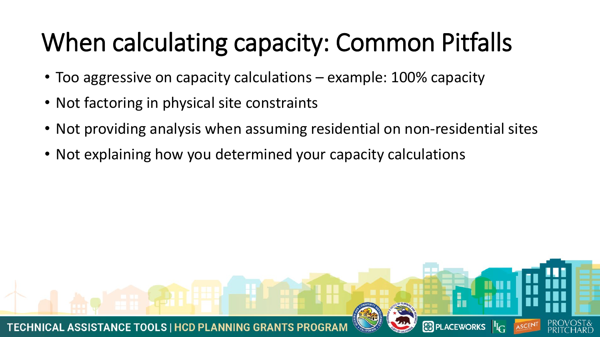## When calculating capacity: Common Pitfalls

- Too aggressive on capacity calculations example: 100% capacity
- Not factoring in physical site constraints
- Not providing analysis when assuming residential on non-residential sites

**B** PLACEWORKS  $\left|\frac{\mathbf{I}_{\mathbf{I}}}{\mathbf{I}_{\mathbf{G}}} \right|$ 

• Not explaining how you determined your capacity calculations

**TECHNICAL ASSISTANCE TOOLS | HCD PLANNING GRAI**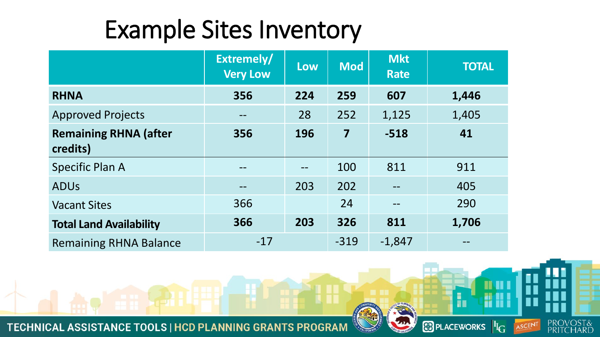#### Example Sites Inventory

|                                          | Extremely/<br><b>Very Low</b> | <b>Low</b> | <b>Mod</b>              | <b>Mkt</b><br><b>Rate</b> | <b>TOTAL</b> |
|------------------------------------------|-------------------------------|------------|-------------------------|---------------------------|--------------|
| <b>RHNA</b>                              | 356                           | 224        | 259                     | 607                       | 1,446        |
| <b>Approved Projects</b>                 | $\qquad \qquad -$             | 28         | 252                     | 1,125                     | 1,405        |
| <b>Remaining RHNA (after</b><br>credits) | 356                           | 196        | $\overline{\mathbf{7}}$ | $-518$                    | 41           |
| <b>Specific Plan A</b>                   | $- -$                         |            | 100                     | 811                       | 911          |
| <b>ADUs</b>                              | $\qquad \qquad \qquad -$      | 203        | 202                     |                           | 405          |
| <b>Vacant Sites</b>                      | 366                           |            | 24                      | $\qquad \qquad -$         | 290          |
| <b>Total Land Availability</b>           | 366                           | 203        | 326                     | 811                       | 1,706        |
| <b>Remaining RHNA Balance</b>            | $-17$                         |            | $-319$                  | $-1,847$                  |              |

**PRO** 

**PRI** 

ASCENT

h

 $\odot$  PLACEWORKS  $|{}^I\!I_{\rm G}|$ 

TECHNICAL ASSISTANCE TOOLS | HCD PLANNING GRANTS PROGRAM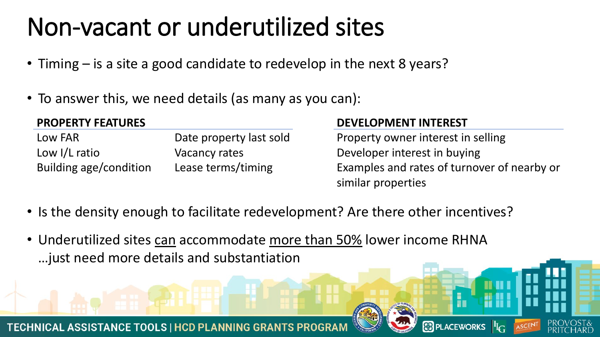#### Non-vacant or underutilized sites

- Timing is a site a good candidate to redevelop in the next 8 years?
- To answer this, we need details (as many as you can):

#### **PROPERTY FEATURES**

| Low FAR                       | Date property last sold |
|-------------------------------|-------------------------|
| Low I/L ratio                 | Vacancy rates           |
| <b>Building age/condition</b> | Lease terms/timing      |

#### **DEVELOPMENT INTEREST**

Property owner interest in selling Developer interest in buying Examples and rates of turnover of nearby or similar properties

**&** PLACEWORKS <sup>II</sup>I<sub>C</sub>

- Is the density enough to facilitate redevelopment? Are there other incentives?
- Underutilized sites can accommodate more than 50% lower income RHNA …just need more details and substantiation

**TECHNICAL ASSISTANCE TOOLS | HCD PLANNING GRANTS**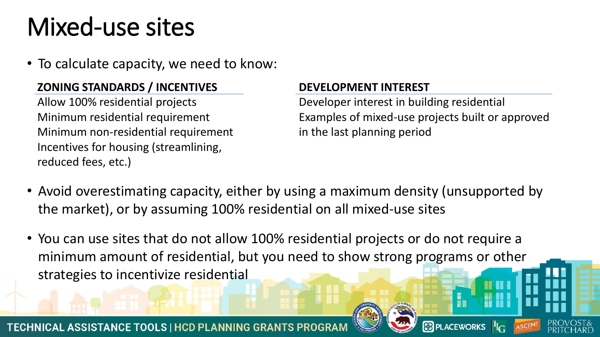### Mixed-use sites

• To calculate capacity, we need to know:

#### **ZONING STANDARDS / INCENTIVES**

Allow 100% residential projects Minimum residential requirement Minimum non-residential requirement Incentives for housing (streamlining, reduced fees, etc.)

#### **DEVELOPMENT INTEREST**

Developer interest in building residential Examples of mixed-use projects built or approved in the last planning period

**&** PLACEWORKS <sup>II</sup>I

- Avoid overestimating capacity, either by using a maximum density (unsupported by the market), or by assuming 100% residential on all mixed-use sites
- You can use sites that do not allow 100% residential projects or do not require a minimum amount of residential, but you need to show strong programs or other strategies to incentivize residential

**TECHNICAL ASSISTANCE TOOLS | HCD PLANNING GRANTS P** 

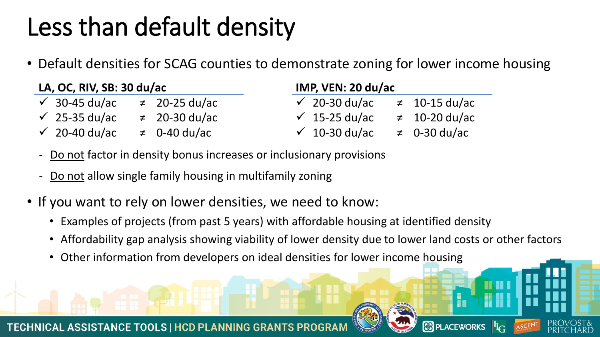### Less than default density

• Default densities for SCAG counties to demonstrate zoning for lower income housing

| LA, OC, RIV, SB: 30 du/ac |                          | IMP, VEN: 20 du/ac |                          |  |                    |
|---------------------------|--------------------------|--------------------|--------------------------|--|--------------------|
|                           | $\checkmark$ 30-45 du/ac | $\neq$ 20-25 du/ac | $\checkmark$ 20-30 du/ac |  | $\neq$ 10-15 du/ac |
|                           | $\checkmark$ 25-35 du/ac | $\neq$ 20-30 du/ac | $\checkmark$ 15-25 du/ac |  | $\neq$ 10-20 du/ac |
|                           | $\checkmark$ 20-40 du/ac | $\neq$ 0-40 du/ac  | $\sqrt{ }$ 10-30 du/ac   |  | $\neq$ 0-30 du/ac  |

- Do not factor in density bonus increases or inclusionary provisions
- Do not allow single family housing in multifamily zoning
- If you want to rely on lower densities, we need to know:
	- Examples of projects (from past 5 years) with affordable housing at identified density
	- Affordability gap analysis showing viability of lower density due to lower land costs or other factors

**B** PLACEWORKS <sup>II</sup>I<sub>G</sub>

• Other information from developers on ideal densities for lower income housing

**TECHNICAL ASSISTANCE TOOLS | HCD PLANNING GRANTS**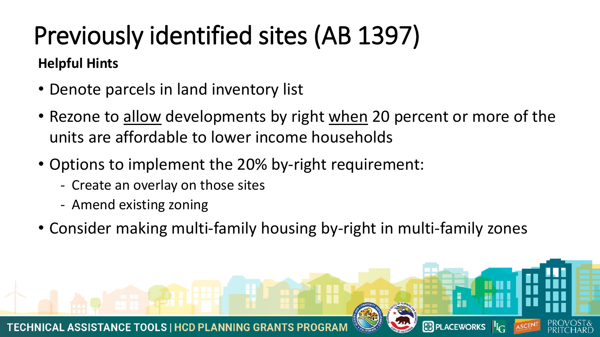# Previously identified sites (AB 1397)

#### **Helpful Hints**

- Denote parcels in land inventory list
- Rezone to allow developments by right when 20 percent or more of the units are affordable to lower income households
- Options to implement the 20% by-right requirement:
	- Create an overlay on those sites
	- Amend existing zoning
- Consider making multi-family housing by-right in multi-family zones

**8** PLACEWORKS  $\mathbf{F}_{\mathbf{G}}$ 

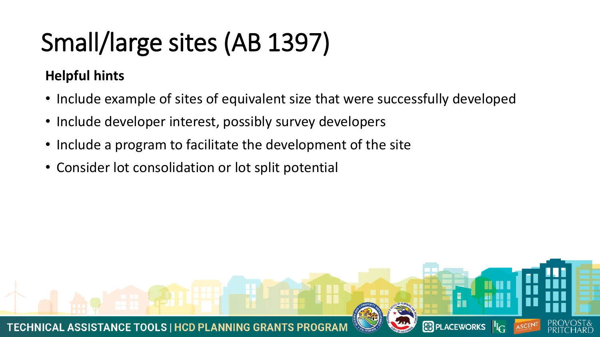## Small/large sites (AB 1397)

#### **Helpful hints**

• Include example of sites of equivalent size that were successfully developed

**SEPLACEWORKS**  $\mathbf{F}_{\mathbb{G}}$ 

- Include developer interest, possibly survey developers
- Include a program to facilitate the development of the site
- Consider lot consolidation or lot split potential

**TECHNICAL ASSISTANCE TOOLS | HCD PLANNING GRANT**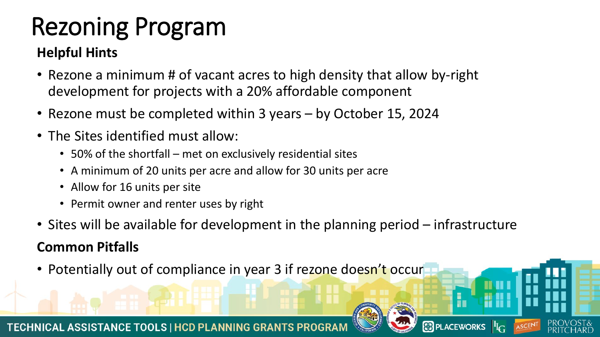## Rezoning Program

#### **Helpful Hints**

- Rezone a minimum # of vacant acres to high density that allow by-right development for projects with a 20% affordable component
- Rezone must be completed within 3 years by October 15, 2024
- The Sites identified must allow:
	- 50% of the shortfall met on exclusively residential sites
	- A minimum of 20 units per acre and allow for 30 units per acre
	- Allow for 16 units per site
	- Permit owner and renter uses by right
- Sites will be available for development in the planning period infrastructure

#### **Common Pitfalls**

• Potentially out of compliance in year 3 if rezone doesn't occur





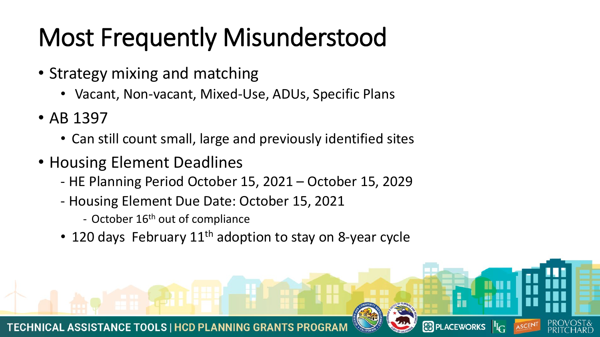### Most Frequently Misunderstood

- Strategy mixing and matching
	- Vacant, Non-vacant, Mixed-Use, ADUs, Specific Plans
- AB 1397
	- Can still count small, large and previously identified sites
- Housing Element Deadlines
	- HE Planning Period October 15, 2021 October 15, 2029
	- Housing Element Due Date: October 15, 2021
		- October 16<sup>th</sup> out of compliance
	- 120 days February  $11<sup>th</sup>$  adoption to stay on 8-year cycle

**8** PLACEWORKS  $\mathbf{F}_{\mathbf{G}}$ 

**TECHNICAL ASSISTANCE TOOLS | HCD PLANNING GRANTS F**